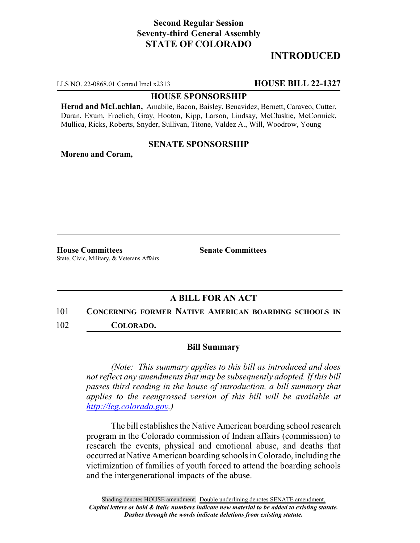## **Second Regular Session Seventy-third General Assembly STATE OF COLORADO**

## **INTRODUCED**

LLS NO. 22-0868.01 Conrad Imel x2313 **HOUSE BILL 22-1327**

#### **HOUSE SPONSORSHIP**

**Herod and McLachlan,** Amabile, Bacon, Baisley, Benavidez, Bernett, Caraveo, Cutter, Duran, Exum, Froelich, Gray, Hooton, Kipp, Larson, Lindsay, McCluskie, McCormick, Mullica, Ricks, Roberts, Snyder, Sullivan, Titone, Valdez A., Will, Woodrow, Young

#### **SENATE SPONSORSHIP**

**Moreno and Coram,**

**House Committees Senate Committees** State, Civic, Military, & Veterans Affairs

### **A BILL FOR AN ACT**

# 101 **CONCERNING FORMER NATIVE AMERICAN BOARDING SCHOOLS IN**

102 **COLORADO.**

#### **Bill Summary**

*(Note: This summary applies to this bill as introduced and does not reflect any amendments that may be subsequently adopted. If this bill passes third reading in the house of introduction, a bill summary that applies to the reengrossed version of this bill will be available at http://leg.colorado.gov.)*

The bill establishes the Native American boarding school research program in the Colorado commission of Indian affairs (commission) to research the events, physical and emotional abuse, and deaths that occurred at Native American boarding schools in Colorado, including the victimization of families of youth forced to attend the boarding schools and the intergenerational impacts of the abuse.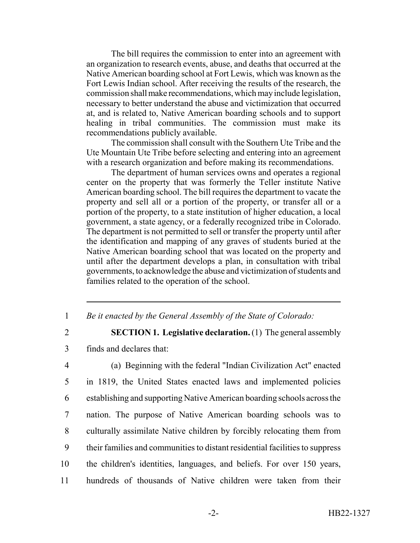The bill requires the commission to enter into an agreement with an organization to research events, abuse, and deaths that occurred at the Native American boarding school at Fort Lewis, which was known as the Fort Lewis Indian school. After receiving the results of the research, the commission shall make recommendations, which may include legislation, necessary to better understand the abuse and victimization that occurred at, and is related to, Native American boarding schools and to support healing in tribal communities. The commission must make its recommendations publicly available.

The commission shall consult with the Southern Ute Tribe and the Ute Mountain Ute Tribe before selecting and entering into an agreement with a research organization and before making its recommendations.

The department of human services owns and operates a regional center on the property that was formerly the Teller institute Native American boarding school. The bill requires the department to vacate the property and sell all or a portion of the property, or transfer all or a portion of the property, to a state institution of higher education, a local government, a state agency, or a federally recognized tribe in Colorado. The department is not permitted to sell or transfer the property until after the identification and mapping of any graves of students buried at the Native American boarding school that was located on the property and until after the department develops a plan, in consultation with tribal governments, to acknowledge the abuse and victimization of students and families related to the operation of the school.

- 1 *Be it enacted by the General Assembly of the State of Colorado:*
- 

2 **SECTION 1. Legislative declaration.** (1) The general assembly 3 finds and declares that:

 (a) Beginning with the federal "Indian Civilization Act" enacted in 1819, the United States enacted laws and implemented policies establishing and supporting Native American boarding schools across the nation. The purpose of Native American boarding schools was to culturally assimilate Native children by forcibly relocating them from their families and communities to distant residential facilities to suppress the children's identities, languages, and beliefs. For over 150 years, hundreds of thousands of Native children were taken from their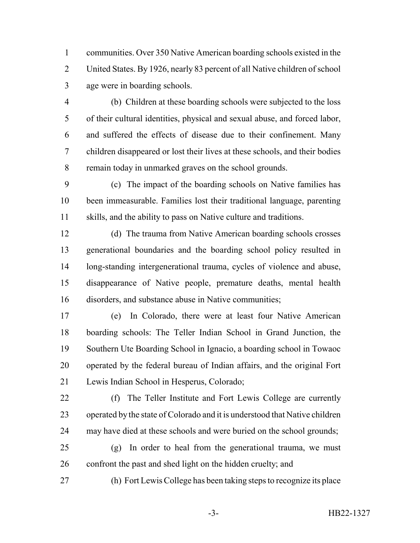communities. Over 350 Native American boarding schools existed in the United States. By 1926, nearly 83 percent of all Native children of school age were in boarding schools.

- (b) Children at these boarding schools were subjected to the loss of their cultural identities, physical and sexual abuse, and forced labor, and suffered the effects of disease due to their confinement. Many children disappeared or lost their lives at these schools, and their bodies remain today in unmarked graves on the school grounds.
- (c) The impact of the boarding schools on Native families has been immeasurable. Families lost their traditional language, parenting skills, and the ability to pass on Native culture and traditions.
- (d) The trauma from Native American boarding schools crosses generational boundaries and the boarding school policy resulted in long-standing intergenerational trauma, cycles of violence and abuse, disappearance of Native people, premature deaths, mental health disorders, and substance abuse in Native communities;
- (e) In Colorado, there were at least four Native American boarding schools: The Teller Indian School in Grand Junction, the Southern Ute Boarding School in Ignacio, a boarding school in Towaoc operated by the federal bureau of Indian affairs, and the original Fort Lewis Indian School in Hesperus, Colorado;
- (f) The Teller Institute and Fort Lewis College are currently operated by the state of Colorado and it is understood that Native children may have died at these schools and were buried on the school grounds;
- (g) In order to heal from the generational trauma, we must 26 confront the past and shed light on the hidden cruelty; and
- (h) Fort Lewis College has been taking steps to recognize its place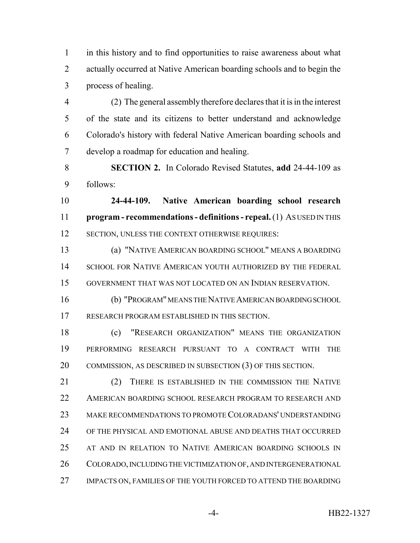in this history and to find opportunities to raise awareness about what actually occurred at Native American boarding schools and to begin the process of healing.

 (2) The general assembly therefore declares that it is in the interest of the state and its citizens to better understand and acknowledge Colorado's history with federal Native American boarding schools and develop a roadmap for education and healing.

 **SECTION 2.** In Colorado Revised Statutes, **add** 24-44-109 as follows:

 **24-44-109. Native American boarding school research program - recommendations - definitions - repeal.** (1) AS USED IN THIS 12 SECTION, UNLESS THE CONTEXT OTHERWISE REQUIRES:

 (a) "NATIVE AMERICAN BOARDING SCHOOL" MEANS A BOARDING 14 SCHOOL FOR NATIVE AMERICAN YOUTH AUTHORIZED BY THE FEDERAL GOVERNMENT THAT WAS NOT LOCATED ON AN INDIAN RESERVATION.

 (b) "PROGRAM" MEANS THE NATIVE AMERICAN BOARDING SCHOOL RESEARCH PROGRAM ESTABLISHED IN THIS SECTION.

 (c) "RESEARCH ORGANIZATION" MEANS THE ORGANIZATION PERFORMING RESEARCH PURSUANT TO A CONTRACT WITH THE 20 COMMISSION, AS DESCRIBED IN SUBSECTION (3) OF THIS SECTION.

21 (2) THERE IS ESTABLISHED IN THE COMMISSION THE NATIVE AMERICAN BOARDING SCHOOL RESEARCH PROGRAM TO RESEARCH AND MAKE RECOMMENDATIONS TO PROMOTE COLORADANS' UNDERSTANDING OF THE PHYSICAL AND EMOTIONAL ABUSE AND DEATHS THAT OCCURRED AT AND IN RELATION TO NATIVE AMERICAN BOARDING SCHOOLS IN COLORADO, INCLUDING THE VICTIMIZATION OF, AND INTERGENERATIONAL IMPACTS ON, FAMILIES OF THE YOUTH FORCED TO ATTEND THE BOARDING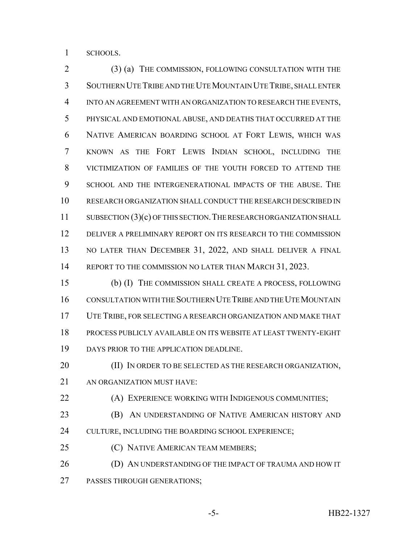SCHOOLS.

 (3) (a) THE COMMISSION, FOLLOWING CONSULTATION WITH THE SOUTHERN UTE TRIBE AND THE UTE MOUNTAIN UTE TRIBE, SHALL ENTER INTO AN AGREEMENT WITH AN ORGANIZATION TO RESEARCH THE EVENTS, PHYSICAL AND EMOTIONAL ABUSE, AND DEATHS THAT OCCURRED AT THE NATIVE AMERICAN BOARDING SCHOOL AT FORT LEWIS, WHICH WAS KNOWN AS THE FORT LEWIS INDIAN SCHOOL, INCLUDING THE VICTIMIZATION OF FAMILIES OF THE YOUTH FORCED TO ATTEND THE SCHOOL AND THE INTERGENERATIONAL IMPACTS OF THE ABUSE. THE RESEARCH ORGANIZATION SHALL CONDUCT THE RESEARCH DESCRIBED IN 11 SUBSECTION (3)(c) OF THIS SECTION. THE RESEARCH ORGANIZATION SHALL DELIVER A PRELIMINARY REPORT ON ITS RESEARCH TO THE COMMISSION NO LATER THAN DECEMBER 31, 2022, AND SHALL DELIVER A FINAL 14 REPORT TO THE COMMISSION NO LATER THAN MARCH 31, 2023.

 (b) (I) THE COMMISSION SHALL CREATE A PROCESS, FOLLOWING CONSULTATION WITH THE SOUTHERN UTE TRIBE AND THE UTE MOUNTAIN UTE TRIBE, FOR SELECTING A RESEARCH ORGANIZATION AND MAKE THAT PROCESS PUBLICLY AVAILABLE ON ITS WEBSITE AT LEAST TWENTY-EIGHT 19 DAYS PRIOR TO THE APPLICATION DEADLINE.

20 (II) IN ORDER TO BE SELECTED AS THE RESEARCH ORGANIZATION, AN ORGANIZATION MUST HAVE:

(A) EXPERIENCE WORKING WITH INDIGENOUS COMMUNITIES;

- **(B)** AN UNDERSTANDING OF NATIVE AMERICAN HISTORY AND 24 CULTURE, INCLUDING THE BOARDING SCHOOL EXPERIENCE;
- **(C) NATIVE AMERICAN TEAM MEMBERS;**

**(D) AN UNDERSTANDING OF THE IMPACT OF TRAUMA AND HOW IT** PASSES THROUGH GENERATIONS;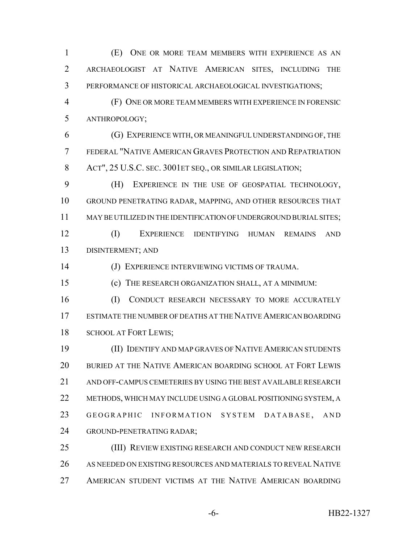(E) ONE OR MORE TEAM MEMBERS WITH EXPERIENCE AS AN ARCHAEOLOGIST AT NATIVE AMERICAN SITES, INCLUDING THE PERFORMANCE OF HISTORICAL ARCHAEOLOGICAL INVESTIGATIONS;

 (F) ONE OR MORE TEAM MEMBERS WITH EXPERIENCE IN FORENSIC ANTHROPOLOGY;

 (G) EXPERIENCE WITH, OR MEANINGFUL UNDERSTANDING OF, THE FEDERAL "NATIVE AMERICAN GRAVES PROTECTION AND REPATRIATION 8 ACT", 25 U.S.C. SEC. 3001ET SEQ., OR SIMILAR LEGISLATION;

 (H) EXPERIENCE IN THE USE OF GEOSPATIAL TECHNOLOGY, GROUND PENETRATING RADAR, MAPPING, AND OTHER RESOURCES THAT MAY BE UTILIZED IN THE IDENTIFICATION OF UNDERGROUND BURIAL SITES; (I) EXPERIENCE IDENTIFYING HUMAN REMAINS AND DISINTERMENT; AND

(J) EXPERIENCE INTERVIEWING VICTIMS OF TRAUMA.

(c) THE RESEARCH ORGANIZATION SHALL, AT A MINIMUM:

16 (I) CONDUCT RESEARCH NECESSARY TO MORE ACCURATELY ESTIMATE THE NUMBER OF DEATHS AT THE NATIVE AMERICAN BOARDING SCHOOL AT FORT LEWIS;

 (II) IDENTIFY AND MAP GRAVES OF NATIVE AMERICAN STUDENTS BURIED AT THE NATIVE AMERICAN BOARDING SCHOOL AT FORT LEWIS AND OFF-CAMPUS CEMETERIES BY USING THE BEST AVAILABLE RESEARCH METHODS, WHICH MAY INCLUDE USING A GLOBAL POSITIONING SYSTEM, A 23 GEOGRAPHIC INFORMATION SYSTEM DATABASE, AND GROUND-PENETRATING RADAR;

 (III) REVIEW EXISTING RESEARCH AND CONDUCT NEW RESEARCH AS NEEDED ON EXISTING RESOURCES AND MATERIALS TO REVEAL NATIVE AMERICAN STUDENT VICTIMS AT THE NATIVE AMERICAN BOARDING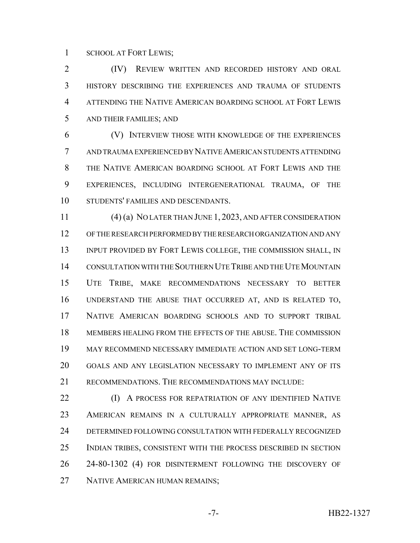SCHOOL AT FORT LEWIS;

 (IV) REVIEW WRITTEN AND RECORDED HISTORY AND ORAL HISTORY DESCRIBING THE EXPERIENCES AND TRAUMA OF STUDENTS ATTENDING THE NATIVE AMERICAN BOARDING SCHOOL AT FORT LEWIS AND THEIR FAMILIES; AND

 (V) INTERVIEW THOSE WITH KNOWLEDGE OF THE EXPERIENCES AND TRAUMA EXPERIENCED BY NATIVE AMERICAN STUDENTS ATTENDING THE NATIVE AMERICAN BOARDING SCHOOL AT FORT LEWIS AND THE EXPERIENCES, INCLUDING INTERGENERATIONAL TRAUMA, OF THE STUDENTS' FAMILIES AND DESCENDANTS.

 (4) (a) NO LATER THAN JUNE 1, 2023, AND AFTER CONSIDERATION OF THE RESEARCH PERFORMED BY THE RESEARCH ORGANIZATION AND ANY 13 INPUT PROVIDED BY FORT LEWIS COLLEGE, THE COMMISSION SHALL, IN CONSULTATION WITH THE SOUTHERN UTE TRIBE AND THE UTE MOUNTAIN UTE TRIBE, MAKE RECOMMENDATIONS NECESSARY TO BETTER UNDERSTAND THE ABUSE THAT OCCURRED AT, AND IS RELATED TO, NATIVE AMERICAN BOARDING SCHOOLS AND TO SUPPORT TRIBAL MEMBERS HEALING FROM THE EFFECTS OF THE ABUSE. THE COMMISSION MAY RECOMMEND NECESSARY IMMEDIATE ACTION AND SET LONG-TERM GOALS AND ANY LEGISLATION NECESSARY TO IMPLEMENT ANY OF ITS RECOMMENDATIONS. THE RECOMMENDATIONS MAY INCLUDE:

**(I)** A PROCESS FOR REPATRIATION OF ANY IDENTIFIED NATIVE AMERICAN REMAINS IN A CULTURALLY APPROPRIATE MANNER, AS DETERMINED FOLLOWING CONSULTATION WITH FEDERALLY RECOGNIZED INDIAN TRIBES, CONSISTENT WITH THE PROCESS DESCRIBED IN SECTION 26 24-80-1302 (4) FOR DISINTERMENT FOLLOWING THE DISCOVERY OF NATIVE AMERICAN HUMAN REMAINS;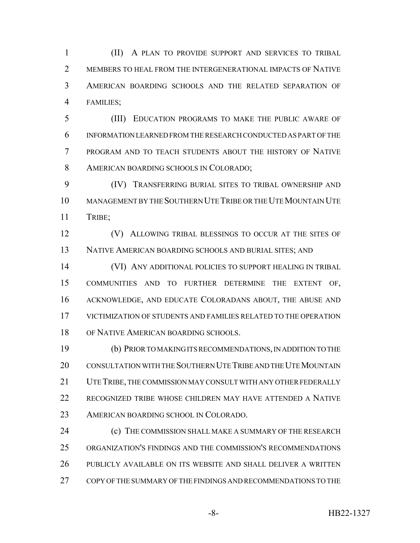(II) A PLAN TO PROVIDE SUPPORT AND SERVICES TO TRIBAL 2 MEMBERS TO HEAL FROM THE INTERGENERATIONAL IMPACTS OF NATIVE AMERICAN BOARDING SCHOOLS AND THE RELATED SEPARATION OF FAMILIES;

 (III) EDUCATION PROGRAMS TO MAKE THE PUBLIC AWARE OF INFORMATION LEARNED FROM THE RESEARCH CONDUCTED AS PART OF THE PROGRAM AND TO TEACH STUDENTS ABOUT THE HISTORY OF NATIVE AMERICAN BOARDING SCHOOLS IN COLORADO;

 (IV) TRANSFERRING BURIAL SITES TO TRIBAL OWNERSHIP AND MANAGEMENT BY THE SOUTHERN UTE TRIBE OR THE UTE MOUNTAIN UTE TRIBE;

**(V)** ALLOWING TRIBAL BLESSINGS TO OCCUR AT THE SITES OF NATIVE AMERICAN BOARDING SCHOOLS AND BURIAL SITES; AND

 (VI) ANY ADDITIONAL POLICIES TO SUPPORT HEALING IN TRIBAL COMMUNITIES AND TO FURTHER DETERMINE THE EXTENT OF, ACKNOWLEDGE, AND EDUCATE COLORADANS ABOUT, THE ABUSE AND VICTIMIZATION OF STUDENTS AND FAMILIES RELATED TO THE OPERATION 18 OF NATIVE AMERICAN BOARDING SCHOOLS.

 (b) PRIOR TO MAKING ITS RECOMMENDATIONS, IN ADDITION TO THE CONSULTATION WITH THE SOUTHERN UTE TRIBE AND THE UTE MOUNTAIN UTE TRIBE, THE COMMISSION MAY CONSULT WITH ANY OTHER FEDERALLY RECOGNIZED TRIBE WHOSE CHILDREN MAY HAVE ATTENDED A NATIVE AMERICAN BOARDING SCHOOL IN COLORADO.

**(c)** THE COMMISSION SHALL MAKE A SUMMARY OF THE RESEARCH ORGANIZATION'S FINDINGS AND THE COMMISSION'S RECOMMENDATIONS PUBLICLY AVAILABLE ON ITS WEBSITE AND SHALL DELIVER A WRITTEN COPY OF THE SUMMARY OF THE FINDINGS AND RECOMMENDATIONS TO THE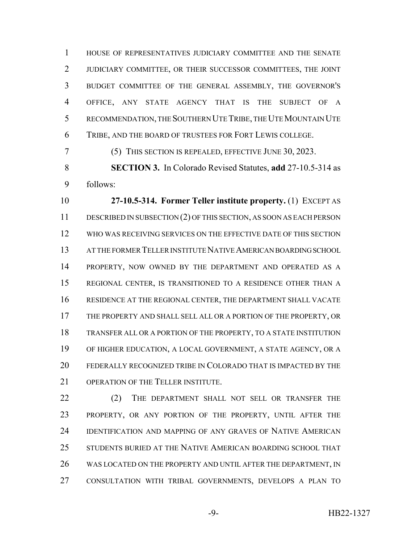HOUSE OF REPRESENTATIVES JUDICIARY COMMITTEE AND THE SENATE JUDICIARY COMMITTEE, OR THEIR SUCCESSOR COMMITTEES, THE JOINT BUDGET COMMITTEE OF THE GENERAL ASSEMBLY, THE GOVERNOR'S OFFICE, ANY STATE AGENCY THAT IS THE SUBJECT OF A RECOMMENDATION, THE SOUTHERN UTE TRIBE, THE UTE MOUNTAIN UTE TRIBE, AND THE BOARD OF TRUSTEES FOR FORT LEWIS COLLEGE.

(5) THIS SECTION IS REPEALED, EFFECTIVE JUNE 30, 2023.

 **SECTION 3.** In Colorado Revised Statutes, **add** 27-10.5-314 as follows:

 **27-10.5-314. Former Teller institute property.** (1) EXCEPT AS DESCRIBED IN SUBSECTION (2) OF THIS SECTION, AS SOON AS EACH PERSON WHO WAS RECEIVING SERVICES ON THE EFFECTIVE DATE OF THIS SECTION AT THE FORMER TELLER INSTITUTE NATIVE AMERICAN BOARDING SCHOOL PROPERTY, NOW OWNED BY THE DEPARTMENT AND OPERATED AS A REGIONAL CENTER, IS TRANSITIONED TO A RESIDENCE OTHER THAN A RESIDENCE AT THE REGIONAL CENTER, THE DEPARTMENT SHALL VACATE THE PROPERTY AND SHALL SELL ALL OR A PORTION OF THE PROPERTY, OR TRANSFER ALL OR A PORTION OF THE PROPERTY, TO A STATE INSTITUTION OF HIGHER EDUCATION, A LOCAL GOVERNMENT, A STATE AGENCY, OR A FEDERALLY RECOGNIZED TRIBE IN COLORADO THAT IS IMPACTED BY THE 21 OPERATION OF THE TELLER INSTITUTE.

22 (2) THE DEPARTMENT SHALL NOT SELL OR TRANSFER THE PROPERTY, OR ANY PORTION OF THE PROPERTY, UNTIL AFTER THE IDENTIFICATION AND MAPPING OF ANY GRAVES OF NATIVE AMERICAN STUDENTS BURIED AT THE NATIVE AMERICAN BOARDING SCHOOL THAT 26 WAS LOCATED ON THE PROPERTY AND UNTIL AFTER THE DEPARTMENT, IN CONSULTATION WITH TRIBAL GOVERNMENTS, DEVELOPS A PLAN TO